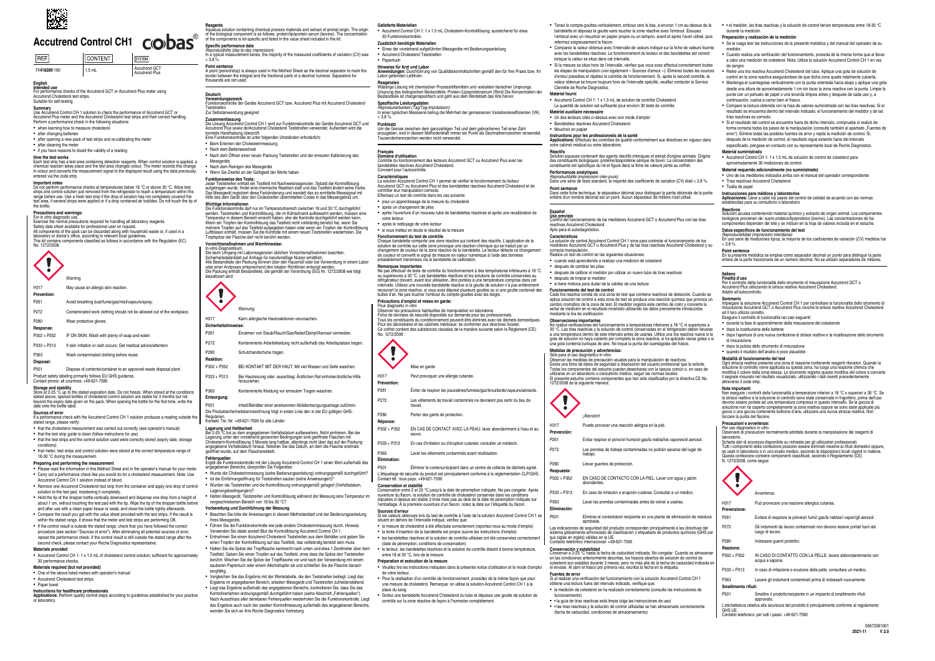

# Accutrend Control CH1 **CIO bas**

| <b>IREF</b>  | <b>CONTENT</b> | <b>ISYSTEM</b>                  |
|--------------|----------------|---------------------------------|
| 11418289 190 | $1.5$ mL       | Accutrend GCT<br>Accutrend Plus |

# **English Intended use**

For performance checks of the Accutrend GCT or Accutrend Plus meter using Accutrend Cholesterol test strips. Suitable for self‑testing.

**Summary**<br>Use Accutrend Control CH 1 solution to check the performance of Accutrend GCT or<br>Accutrend Plus meter and the Accutrend Cholesterol test strips and their correct handling.<br>Perform a performance check in the follo

- **when learning how to measure cholestern**
- after changing batteries
- after opening a new pack of test strips and re-calibrating the meter

▪ after cleaning the meter ▪ if you have reasons to doubt the validity of a reading

### **How the test works**

Important notes<br>Do not perform performance checks at temperatures below 18 °C or above 30 °C. Allow test<br>strips and control solution just removed from the refrigerator to reach a temperature within this<br>range before use. U the bottle.

Precentions and warmings:<br>For in vitro diagnostic use.<br>Exercise the normal precautions required for handling all laboratory reagents.<br>Safety data sheet available for professional user on request.<br>All components of the pack

Each test strip has a test area containing detection reagents. When control solution is applied, a chemical reaction takes place and the test area changes colour. The meter records this change in colour and converts the measurement signal to the displayed result using the data previously entered via the code strip.

Warning H317 May cause an allergic skin reaction.

**Storage and stability** Store at 2-25 °C up to the stated expiration date. Do not freeze. When stored at the conditions stated above, opened bottles of cholesterol control solution are stable for 3 months but not beyond the expiry date given on the pack. When opening the bottle for the first time, write the date onto the bottle label

# **Sources of error**<br>**If a performance** cl

rror<br>ice check with the Accutrend Control CH 1 solution produces a reading outside the stated range, please verify:

- that the cholesterol measurement was carried out correctly (see operator's manual)
- that the test strip guide is clean (follow instructions for use) ■ that the test strips and the control solution used were correctly stored (expiry date, storage
- conditions) • that meter, test strips and control solution were stored at the correct temperature range of

## 18-30 °C during the measurement.

No. 1272/2008:



- **Prevention:** P261 Avoid breathing dust/fume/gas/mist/vapours/spray. P272 Contaminated work clothing should not be allowed out of the workplace.
- P280 Wear protective gloves **Response:** P302 + P352 IF ON SKIN: Wash with plenty of soap and water.
- P333 + P313 If skin irritation or rash occurs: Get medical advice/attention.
- P363 Wash contaminated clothing before reuse.

**Disposal:**

P501 Dispose of contents/container to an approved waste disposal plant. Product safety labeling primarily follows EU GHS guidance. Contact phone: all countries: +49-621-7590

- Accutrend Control CH 1: 1 x 1.5 mL of cholesterol control solution; sufficient for approximately 30 performance checks. **Materials required (but not provided)**
- One of the above listed meters with operator's manual
- Accutrend Cholesterol test strips
- Paper towel

Wichtige Informationen<br>Die Funktionskontrolle darf nur im Temperaturbereich zwischen 18 und 30 °C durchgeführt<br>werden. Teststreifen und Kontrolllösung, die im Kühlschrank aufbewahrt werden, müssen eine<br>Temperatur in diesem mehrere Tropfen auf das Testfeld aufgegeben haben oder wenn ein Tropfen der Kontrolllösung Luftblasen enthält, müssen Sie die Kontrolle mit einem neuen Teststreifen wiederholen. Die Tropfspitze der Flasche darf nicht berührt werden.

**Vorsichtsmaßnahmen <b>und Warnhinweise:**<br>In-vitro-Diagnostikum.<br>Die beim Umgang mit Laborreagenzien üblichen Vorsichtsmaßnahmen beachten.<br>Sicherheitsdatenblatt auf Anfrage für berufsmäßige Nutzer erhältlich. Alle Bestandteile der Packung können über den Hausmüll oder bei Verwendung in einem Labor<br>oder einer Arztpraxis entsprechend den lokalen Richtlinien entsorgt werden.<br>Die Packung enthält Bestandteile, die gemäß der Verordnu

- **Preparing and performing the measurement** ▪ Please read the information in this Method Sheet and in the operator's manual for your meter. ▪ Carry out a performance check like you would do for a cholesterol measurement. Note: Use
- Accutrend Control CH 1 solution instead of blood. ▪ Remove one Accutrend Cholesterol test strip from the container and apply one drop of control
- solution to the test pad, moistening it completely. **Hold the tip of the dropper bottle vertically downward and dispense one drop from a height of**
- about 1 cm, without touching the test pad with the tip. Wipe the tip of the dropper bottle before and after use with a clean paper tissue or swab, and close the bottle tightly afterwards.
- Compare the result you get with the value sheet provided with the test strips. If the result is within the stated range, it shows that the meter and test strips are performing OK.
- If the control result is outside the stated range, check that you have followed the correct procedure (see section "Sources of error"). After eliminating all potential sources of error,
- repeat the performance check. If the control result is still outside the stated range after the second check, please contact your Roche Diagnostics representative. **Materials provided**

P501 Inhalt/Behälter einer anerkannten Abfallentsorgungsanlage zuführen. Die Produktsicherheitskennzeichnung folgt in erster Linie den in der EU gültigen GHS-

### **Instructions for healthcare professionals**

**Applications:** Perform quality control steps according to guidelines established for your practice or laboratory.

**Reagents** Aqueous solution containing chemical process materials and extract of animal origin. The origin of the biological component is as follows: protein/lipoprotein serum (bovine). The concentration of the components is lot-specific and listed in the value sheet included in the kit.

# **Specific performance data**<br>*Reproducibility (day-to-day imprecision):*<br>In a typical measurement series, the majority of the measured coefficients of variation (CV) was<br>< 3.8 %.

**Point sentence** A point (period/stop) is always used in this Method Sheet as the decimal separator to mark the border between the integral and the fractional parts of a decimal numeral. Separators for thousands are not used.

### **Deutsch**

Ursprung des biologischen Bestandteils: Protein-/Lipoproteinserum (Rind) Die Konzentration der Bestandteile ist chargenspezifisch und geht aus dem Werteblatt des Kits hervor. **Spezifische Leistungsdaten**<br>*Reproduzierbarkeit (Tag/Tag-Impräzision):*<br>In einer typischen Messserie betrug die Mehrheit der gemessenen Variationskoeffizienten (VK)

Um die Grenze zwischen dem ganzzahligen Teil und dem gebrochenen Teil einer Zahl<br>anzugeben, wird in diesem Methodenblatt immer ein Punkt als Dezimaltrennzeichen verwendet.<br>Tausendertrennzeichen werden nicht verwendet.

après l'ouverture d'un nouveau tube de bandelettes réactives et après une recalibration de

- **Verwendungszweck** Funktionskontrolle der Geräte Accutrend GCT bzw. Accutrend Plus mit Accutrend Cholesterol
- Teststreifen. Zur Selbstanwendung geeignet

- **Zusammenfassung**<br>Die Lösung Accutrend Control CH 1 wird zur Funktionskontrolle der Geräte Accutrend GCT und<br>Accutrend Plus sowie derAccutrend Cholesterol Teststreifen verwendet. Außerdem wird die korrekte Handhabung überprüft. Eine Funktionskontrolle ist unter folgenden Umständen erforderlich:
- ■<br>■ Beim Erlernen der Cholesterinmessung
- Nach dem Batteriewechsel
- Nach dem Öffnen einer neuen Packung Teststreifen und der erneuten Kalibrierung des
- Messgeräts
- Nach dem Reinigen des Messgeräts ■ Wenn Sie Zweifel an der Gültigkeit der Werte haben

 $< 3.8 %$ **Punktsatz**

**Hinweise für Arzt und Labor**<br>Anwendungen: Durchführung von Qualitätskontrollschritten gemäß den für Ihre Praxis bzw. Ihr<br>Labor geltenden Leitlinien. **Reagenzien**<br>Wässrige Lösung mit chemischen Prozesshilfsmitteln und -extrakten tierischen Ursprungs.

après le nettoyage de votre lecteur ▪ si vous mettez en doute le résultat de la mesure

- **Funktionsweise des Tests:** Jeder Teststreifen enthält ein Testfeld mit Nachweisreagenzien. Sobald die Kontrolllösung aufgetragen wurde, findet eine chemische Reaktion statt und das Testfeld ändert seine Farbe.
- Das Messgerät registriert diese Farbänderung und wandelt das so ermittelte Messsignal mit Hilfe des dem Gerät über den Codestreifen übermittelten Codes in das Messergebnis um.

▪ la mesure de cholestérol a été effectuée correctement (reportez‑vous au mode d'emploi) ▪ la fente d'insertion de la bandelette est propre (suivre les instructions d'emploi) es bandelettes réactives et la solution de contrôle utilisées ont été conservées correctem



**Sicherheit** 

- P261 Einatmen von Staub/Rauch/Gas/Nebel/Dampf/Aerosol vermeiden.
- P272 Kontaminierte Arbeitskleidung nicht außerhalb des Arbeitsplatzes tragen.
- P280 Schutzhandschuhe tragen
- **Reaktion:**
- P302 + P352 BEI KONTAKT MIT DER HAUT: Mit viel Wasser und Seife waschen. P333 + P313 Bei Hautreizung oder -ausschlag: Ärztlichen Rat einholen/ärztliche Hilfe
- hinzuziehen. P363 Kontaminierte Kleidung vor erneutem Tragen waschen.
- **Entsorgung:**

# Regularien. Kontakt: Tel.-Nr. +49-621-7590 für alle Länder

Lagerung und Haltbarkeit<br>Bei 2-25 °C bis zu dem angegebenen Verfallsdatum aufbewahren. Nicht einfrieren. Bei der<br>Lagerung unter den vorstehend genannten Bedingungen sind geöffnete Flaschen mit<br>Cholesterin-Kontrolllösung 3

- **Fehlerquellen** Ergibt die Funktionskontrolle mit der Lösung Accutrend Control CH 1 einen Wert außerhalb des angegebenen Bereichs, überprüfen Sie Folgendes:
- Wurde die Cholesterinmessung (siehe Bedienungsanleitung) ordnungsgemäß durchgeführt? ▪ Ist die Einführungsöffnung für Teststreifen sauber (siehe Anweisungen)?
- Wurden die Teststreifen und die Kontrolllösung ordnungsgemäß gelagert (Verfallsdatum,
- Lagerungsbedingungen)? Hatten Messgerät, Teststreifen und Kontrolllösung während der Messung eine Temperatur im

# vorgeschriebenen Bereich von 18 bis 30 °C?

- **Vorbereitung und Durchführung der Messung**
- Beachten Sie bitte die Anweisungen in diesem Methodenblatt und der Bedienungsanleitung Issammen Sessen<br>Ihres Messgeräts ▪ Führen Sie die Funktionskontrolle wie jede andere Cholesterinmessung durch. Hinweis:
- Verwenden Sie dabei anstatt Blut die Kontrolllösung Accutrend Control CH 1.
- Entnehmen Sie einen Accutrend Cholesterol Teststreifen aus dem Behälter und geben Sie
- einen Tropfen der Kontrolllösung auf das Testfeld, das vollständig benetzt sein muss. Halten Sie die Spitze der Tropfflasche senkrecht nach unten und etwa 1 Zentimeter über der
- Testfeld. Geben Sie einen Tropfen auf das Testfeld, ohne dass die Spitze den Teststreifen berührt. Wischen Sie die Spitze der Tropfflasche vor und nach der Verwendung mit einem sauberen Papiertuch oder einem Alkoholtupfer ab und schließen Sie die Flasche danach sorgfältig.
- Vergleichen Sie das Ergebnis mit der Wertetabelle, die den Teststreifen beiliegt. Liegt das Ergebnis im angegebenen Bereich, arbeiten Messgerät und Teststreifen zufriedenstellend. ▪ Liegt das Ergebnis außerhalb des angegebenen Bereichs, kontrollieren Sie, dass Sie das Kontrollverfahren ordnungsgemäß durchgeführt haben (siehe Abschnitt "Fehlerquellen"). Nach Ausschluss aller denkbaren Fehlerquellen wiederholen Sie die Funktionskontrolle. Liegt das Ergebnis auch nach der zweiten Kontrollmessung außerhalb des angegebenen Bereich wenden Sie sich an Ihre Roche Diagnostics Vertretung.

### **Gelieferte Materialien**

▪ Accutrend Control CH 1: 1 x 1.5 mL Cholesterin-Kontrolllösung; ausreichend für etwa

### 30 Funktionskontrollen. **Zusätzlich benötigte Materialien**

▪ Eines der vorstehend aufgeführten Messgeräte mit Bedienungsanleitung ▪ Accutrend Cholesterol Teststreifen

## ▪ Papiertuch

Convient pour l'autocontrôle. **Caractéristiques**

après un changement de piles

La solution Accutrend Control CH 1 permet de vérifier le fonctionnement du lecteur Accutrend GCT ou Accutrend Plus et des bandelettes réactives Accutrend Cholesterol et de

contrôler leur manipulation correcte. Effectuez un test de contrôle dans les cas suivants: ▪ pour un apprentissage de la mesure du cholestérol

votre lecteur

No. 1272/2008

**Fonctionnement du test de contrôle** Chaque bandelette comporte une zone réactive qui contient des réactifs. L'application de la solution de contrôle sur cette zone provoque une réaction chimique qui se traduit par un changement de couleur de la zone réactive de la bandelette. Le lecteur détecte ce changement de couleur et convertit le signal de mesure en valeur numérique à l'aide des données préalablement transmises via la bandelette de calibration.

**Remarques importantes**

Ne pas effectuer de tests de contrôle du fonctionnement à des températures inférieures à 18 °C ou supérieures à 30 °C. Les bandelettes réactives et les solutions de contrôle conservées au réfrigérateur doivent, avant leur utilisation, être portées à une température comprise dans cet intervalle. Utilisez une nouvelle bandelette réactive si la goutte de solution n'a pas entièrem recouvert la zone réactive, si vous avez déposé plusieurs gouttes ou si une goutte contenait des bulles d'air. Ne pas toucher l'embout du compte‑gouttes avec les doigts.

**Précautions d'emploi et mises en garde:** Pour diagnostic in vitro Observer les précautions habituelles de manipulation en laboratoire. Fiche de données de sécurité disponible sur demande pour les professionnels. Tous les constituants du conditionnement peuvent être éliminés avec les déchets domestiques. Pour les laboratoires et les cabinets médicaux: se conformer aux directives locales. Ce coffret contient des substances classées de la manière suivante selon le Règlement (CE)

> GHS UE. Contatto telefonico: per tutti i paesi: +49-621-7590

Mise en garde H317 Peut provoquer une allergie cutanée.

**Prévention:**

P261 Éviter de respirer les poussières/fumées/gaz/brouillards/vapeurs/aérosols. P272 Les vêtements de travail contaminés ne devraient pas sortir du lieu de

travail. P280 Porter des gants de protection.

**Réponse:**

P302 + P352 EN CAS DE CONTACT AVEC LA PEAU: laver abondamment à l'eau et au

savon.

P333 + P313 En cas d'irritation ou d'éruption cutanée: consulter un médecin. P363 Laver les vêtements contaminés avant réutilisation.

**Élimination:**

P501 Éliminer le contenu/récipient dans un centre de collecte de déchets agréé. L'étiquetage de sécurité du produit est principalement conforme à la réglementation CLP/GHS.

Conservation et stabilité<br>Conservation entre 2 et 25 °C jusqu'à la date de péremption indiquée. Ne pas congeler. Après<br>stipulées ci-dessus est stable 3 mois mais pas au-delà de la date de péremption indiquée<br>stipulées ci-d

Contact tél.: tous pays: +49-621-7590

**Sources d'erreur** Si les valeurs obtenues lors du test de contrôle à l'aide de la solution Accutrend Control CH 1 se

situent en dehors de l'intervalle indiqué, vérifiez que:

(date de péremption, conditions de conservation)

▪ le lecteur, les bandelettes réactives et la solution de contrôle étaient à bonne température,

entre 18 et 30 °C, lors de la mesure. **Préparation et exécution de la mesure**

▪ Veuillez lire les instructions indiquées dans la présente notice d'utilisation et le mode d'emploi de votre lecteur. ▪ Pour la réalisation d'un contrôle de fonctionnement, procédez de la même façon que pour une mesure de cholestérol. Remarque: on utilise la solution Accutrend Control CH 1 à la

place du sang.

**Français<br>Domaine <b>d**'utilisation<br>Contrôle du fonctionnement des lecteurs Accutrend GCT ou Accutrend Plus avec les<br>bandelettes réactives Accutrend Cholesterol.

▪ Sortez une bandelette Accutrend Cholesterol du tube et déposez une goutte de solution de

contrôle sur la zone réactive de façon à l'humecter complètement.

P333 + P313 En caso de irritación o erupción cutánea: Consultar a un médico. P363 Lavar las prendas contaminadas antes de volver a usarlas.

**Eliminación:**

P501 Eliminar el contenido/el recipiente en una planta de eliminación de residuos

Las indicaciones de seguridad del producto corresponden principalmente a las directivas del<br>sistema globalmente armonizado de clasificación y etiquetado de productos químicos (GHS por<br>sus siglas en inglés) válidas en la UE

aprobada.

**Conservación y estabilidad** Conservar a 2-25 °C hasta la fecha de caducidad indicada. No congelar. Cuando se almacenan en las condiciones anteriormente descritas, los frascos abiertos de solución de control de colesterol son estables durante 3 meses, pero no más allá de la fecha de caducidad indicada en

el envase. Al abrir el frasco por primera vez, escriba la fecha en la etiqueta.

|                                                                                                                                                                                                                                                     | ■ Tenez le compte-gouttes verticalement, embout vers le bas, à environ 1 cm au-dessus de la<br>bandelette et déposez la goutte sans toucher la zone réactive avec l'embout. Essuyez                                                                                                               | • el medidor, las tiras reactivas y la solución de control tenían temperaturas entre 18-30 °C<br>durante la medición.                                                                                                                                                                                                                                               |  |
|-----------------------------------------------------------------------------------------------------------------------------------------------------------------------------------------------------------------------------------------------------|---------------------------------------------------------------------------------------------------------------------------------------------------------------------------------------------------------------------------------------------------------------------------------------------------|---------------------------------------------------------------------------------------------------------------------------------------------------------------------------------------------------------------------------------------------------------------------------------------------------------------------------------------------------------------------|--|
|                                                                                                                                                                                                                                                     | l'embout avec un mouchoir en papier propre ou un tampon, avant et après l'avoir utilisé, puis                                                                                                                                                                                                     | Preparación y realización de la medición                                                                                                                                                                                                                                                                                                                            |  |
|                                                                                                                                                                                                                                                     | refermez soigneusement le flacon.                                                                                                                                                                                                                                                                 | • Se le ruega leer las instrucciones de la presente metódica y del manual del operador de su                                                                                                                                                                                                                                                                        |  |
| " Comparez la valeur obtenue avec l'intervalle de valeurs indiqué sur la fiche de valeurs fournie<br>avec les bandelettes réactives. Le fonctionnement du lecteur et des bandelettes est correct<br>lorsque la valeur se situe dans cet intervalle. |                                                                                                                                                                                                                                                                                                   | medidor.<br>• Cuando realiza una verificación del funcionamiento, proceda de la misma forma que al llevar<br>a cabo una medición de colesterol. Nota: Utilice la solución Accutrend Control CH 1 en vez                                                                                                                                                             |  |
|                                                                                                                                                                                                                                                     | Si la mesure se situe hors de l'intervalle, vérifiez que vous avez effectué correctement toutes<br>les étapes de manipulation (voir également « Sources d'erreur »). Éliminez toutes les sources<br>d'erreur possibles et répétez le contrôle de fonctionnement. Si, après le second contrôle, la | de sangre.<br>" Retire una tira reactiva Accutrend Cholesterol del tubo. Aplique una gota de solución de<br>control en la zona reactiva asegurándose de que dicha zona quede totalmente cubierta.                                                                                                                                                                   |  |
|                                                                                                                                                                                                                                                     | valeur obtenue se trouve toujours hors de l'intervalle spécifié, veuillez contacter le Service                                                                                                                                                                                                    | Mantenga el cuentagotas verticalmente con la punta orientada hacia abajo y aplique una gota                                                                                                                                                                                                                                                                         |  |
| Matériel fourni                                                                                                                                                                                                                                     | Clientèle de Roche Diagnostics.<br>Accutrend Control CH 1: 1 x 1.5 mL de solution de contrôle Cholestérol.                                                                                                                                                                                        | desde una altura de aproximadamente 1 cm sin tocar la zona reactiva con la punta. Limpie la<br>punta con un pañuelo de papel o una torunda limpios antes y después de cada uso y, a                                                                                                                                                                                 |  |
|                                                                                                                                                                                                                                                     | La quantité de solution est suffisante pour environ 30 tests de contrôle.                                                                                                                                                                                                                         | continuación, vuelva a cerrar bien el frasco.<br>" Compare la lectura obtenida con la hoja de valores suministrada con las tiras reactivas. Si el                                                                                                                                                                                                                   |  |
| Matériel auxiliaire nécessaire                                                                                                                                                                                                                      |                                                                                                                                                                                                                                                                                                   | resultado se encuentra dentro del intervalo indicado, el funcionamiento del medidor y de las                                                                                                                                                                                                                                                                        |  |
|                                                                                                                                                                                                                                                     | • Un des lecteurs cités ci-dessus avec son mode d'emploi                                                                                                                                                                                                                                          | tiras reactivas es correcto.<br>Si el resultado del control se encuentra fuera de dicho intervalo, compruebe si realizó de                                                                                                                                                                                                                                          |  |
| Bandelettes réactives Accutrend Cholesterol<br>• Mouchoir en papier                                                                                                                                                                                 |                                                                                                                                                                                                                                                                                                   | forma correcta todos los pasos de la manipulación (consulte también el apartado "Fuentes de<br>error"). Elimine todas las posibles fuentes de error y repita la medición de control. Si,<br>después de la medición de control, el resultado sigue estando fuera del intervalo<br>especificado, póngase en contacto con su representante local de Roche Diagnostics. |  |
| Instructions pour les professionnels de la santé                                                                                                                                                                                                    |                                                                                                                                                                                                                                                                                                   |                                                                                                                                                                                                                                                                                                                                                                     |  |
| Applications: Effectuez les contrôles de qualité conformément aux directives en vigueur dans<br>votre cabinet médical ou votre laboratoire.                                                                                                         |                                                                                                                                                                                                                                                                                                   |                                                                                                                                                                                                                                                                                                                                                                     |  |
| Réactifs                                                                                                                                                                                                                                            |                                                                                                                                                                                                                                                                                                   | Material suministrado                                                                                                                                                                                                                                                                                                                                               |  |
| Solution aqueuse contenant des agents réactifs chimiques et extrait d'origine animale. Origine<br>des constituants biologiques: protéine/lipoprotéine sérique de bovin. La concentration des                                                        |                                                                                                                                                                                                                                                                                                   | - Accutrend Control CH 1: 1 x 1.5 mL de solución de control de colesterol para<br>aproximadamente 30 mediciones de control.                                                                                                                                                                                                                                         |  |
|                                                                                                                                                                                                                                                     | constituants est spécifique du lot et figure dans la fiche de valeurs jointe au coffret.                                                                                                                                                                                                          | Material requerido adicionalmente (no suministrado)                                                                                                                                                                                                                                                                                                                 |  |
| Performances analytiques<br>Reproductibilité (imprécision inter-jours):                                                                                                                                                                             |                                                                                                                                                                                                                                                                                                   | " Uno de los medidores indicados arriba con el manual del operador correspondiente                                                                                                                                                                                                                                                                                  |  |
|                                                                                                                                                                                                                                                     | Dans une série de tests standard, la majorité des coefficients de variation (CV) était < 3.8 %.                                                                                                                                                                                                   | " Tiras reactivas Accutrend Cholesterol<br>• Toalla de papel                                                                                                                                                                                                                                                                                                        |  |
| Point sentence                                                                                                                                                                                                                                      | Dans cette fiche technique, le séparateur décimal pour distinguer la partie décimale de la partie<br>entière d'un nombre décimal est un point. Aucun séparateur de milliers n'est utilisé.                                                                                                        | Instrucciones para médicos y laboratorios<br>Aplicaciones: Lleve a cabo los pasos del control de calidad de acuerdo con las normas<br>establecidas para su consultorio o laboratorio.                                                                                                                                                                               |  |
| Español                                                                                                                                                                                                                                             |                                                                                                                                                                                                                                                                                                   | Reactivos                                                                                                                                                                                                                                                                                                                                                           |  |
| Uso previsto                                                                                                                                                                                                                                        | Control del funcionamiento de los medidores Accutrend GCT o Accutrend Plus con las tiras                                                                                                                                                                                                          | Solución acuosa conteniendo material químico y extracto de origen animal. Los componentes<br>biológicos provienen de: suero proteico/lipoproteico (bovino). Las concentraciones de los                                                                                                                                                                              |  |
| reactivas Accutrend Cholesterol.                                                                                                                                                                                                                    |                                                                                                                                                                                                                                                                                                   | componentes dependen del lote y se indican en la hoja de valores incluida en el estuche.                                                                                                                                                                                                                                                                            |  |
| Apto para el autodiagnóstico.<br>Características                                                                                                                                                                                                    |                                                                                                                                                                                                                                                                                                   | Datos específicos de funcionamiento del test<br>Reproducibilidad (imprecisión interdiaria):                                                                                                                                                                                                                                                                         |  |
|                                                                                                                                                                                                                                                     | La solución de control Accutrend Control CH 1 sirve para controlar el funcionamiento de los                                                                                                                                                                                                       | En una serie de mediciones típica, la mayoría de los coeficientes de variación (CV) medidos fue<br>< 3.8 %                                                                                                                                                                                                                                                          |  |
| correcta manipulación.                                                                                                                                                                                                                              | medidores Accutrend GCT o Accutrend Plus y de las tiras reactivas Accutrend Cholesterol y su                                                                                                                                                                                                      | Point sentence                                                                                                                                                                                                                                                                                                                                                      |  |
| Realice un test de control en las siguientes situaciones:<br>• cuando está aprendiendo a realizar una medición de colesterol                                                                                                                        |                                                                                                                                                                                                                                                                                                   | En la presente metódica se emplea como separador decimal un punto para distinguir la parte<br>entera de la parte fraccionaria de un número decimal. No se utilizan separadores de millares.                                                                                                                                                                         |  |
| después de cambiar las pilas                                                                                                                                                                                                                        |                                                                                                                                                                                                                                                                                                   |                                                                                                                                                                                                                                                                                                                                                                     |  |
|                                                                                                                                                                                                                                                     | " después de calibrar el medidor por utilizar un nuevo tubo de tiras reactivas                                                                                                                                                                                                                    | Italiano                                                                                                                                                                                                                                                                                                                                                            |  |
| después de limpiar el medidor<br>si tiene motivos para dudar de la validez de una lectura                                                                                                                                                           |                                                                                                                                                                                                                                                                                                   | Finalità d'uso<br>Per il controllo della funzionalità dello strumento di misurazione Accutrend GCT o                                                                                                                                                                                                                                                                |  |
| Funcionamiento del test de control                                                                                                                                                                                                                  |                                                                                                                                                                                                                                                                                                   |                                                                                                                                                                                                                                                                                                                                                                     |  |
|                                                                                                                                                                                                                                                     |                                                                                                                                                                                                                                                                                                   | Accutrend Plus utilizzando le strisce reattive Accutrend Cholesterol.                                                                                                                                                                                                                                                                                               |  |
|                                                                                                                                                                                                                                                     | Cada tira reactiva consta de una zona de test que contiene reactivos de detección. Cuando se                                                                                                                                                                                                      | Adatto all'autocontrollo.<br>Sommario                                                                                                                                                                                                                                                                                                                               |  |
|                                                                                                                                                                                                                                                     | aplica solución de control a esta zona de test se produce una reacción química que provoca un<br>cambio cromático de la zona de test. El medidor registra este cambio de color y convierte la                                                                                                     | Impiegare la soluzione Accutrend Control CH 1 per controllare la funzionalità dello strumento di                                                                                                                                                                                                                                                                    |  |
| mediante la tira de codificación.                                                                                                                                                                                                                   | señal de medición en el resultado mostrado utilizando los datos previamente introducidos                                                                                                                                                                                                          | misurazione Accutrend GCT o Accutrend Plus nonché le strisce reattive Accutrend Cholesterol<br>ed il loro utilizzo corretto.                                                                                                                                                                                                                                        |  |
| Observaciones importantes                                                                                                                                                                                                                           |                                                                                                                                                                                                                                                                                                   | Eseguire il controllo di funzionalità nei casi seguenti:                                                                                                                                                                                                                                                                                                            |  |
|                                                                                                                                                                                                                                                     | No realice verificaciones del funcionamiento a temperaturas inferiores a 18 °C ni superiores a<br>30 °C. Las tiras reactivas y la solución de control conservadas en el refrigerador deben llevarse                                                                                               | durante la fase di apprendimento della misurazione del colesterolo<br>dopo la sostituzione delle batterie                                                                                                                                                                                                                                                           |  |
|                                                                                                                                                                                                                                                     | a una temperatura dentro de este intervalo antes de usarlas. Utilice una tira reactiva nueva si la                                                                                                                                                                                                | dopo l'apertura di una nuova confezione di strisce reattive e la ricalibrazione dello strumento                                                                                                                                                                                                                                                                     |  |
|                                                                                                                                                                                                                                                     | gota de solución no haya cubierto por completo la zona reactiva, si ha aplicado varias gotas o si<br>una gota contenía burbujas de aire. No toque la punta del cuentagotas del frasco.                                                                                                            | di misurazione<br>dopo la pulizia dello strumento di misurazione                                                                                                                                                                                                                                                                                                    |  |
|                                                                                                                                                                                                                                                     | Medidas de precaución y advertencias:<br>Sólo para el uso diagnóstico in vitro.                                                                                                                                                                                                                   | " quando il risultato dell'analisi è poco plausibile                                                                                                                                                                                                                                                                                                                |  |
|                                                                                                                                                                                                                                                     | Observar las medidas de precaución usuales para la manipulación de reactivos.                                                                                                                                                                                                                     | Modalità di funzionamento del test<br>Ogni striscia reattiva presenta una zona di reazione contenente reagenti rilevatori. Quando la                                                                                                                                                                                                                                |  |
|                                                                                                                                                                                                                                                     | Existe una ficha de datos de seguridad a disposición del usuario profesional que la solicite.<br>Todos los componentes del estuche pueden desecharse con la basura común o, en caso de                                                                                                            | soluzione di controllo viene applicata su questa zona, ha luogo una reazione chimica che                                                                                                                                                                                                                                                                            |  |
|                                                                                                                                                                                                                                                     | utilizarse en un laboratorio o consultorio médico, seguir las normas locales.<br>El presente estuche contiene componentes que han sido clasificados por la directiva CE No.                                                                                                                       | modifica il colore della zona stessa. Lo strumento registra questa modifica del colore e converte<br>il segnale misurato nel risultato visualizzato, utilizzando i dati inseriti precedentemente                                                                                                                                                                    |  |
| 1272/2008 de la siguiente manera:                                                                                                                                                                                                                   |                                                                                                                                                                                                                                                                                                   | attraverso il code strip.                                                                                                                                                                                                                                                                                                                                           |  |
|                                                                                                                                                                                                                                                     |                                                                                                                                                                                                                                                                                                   | Note importanti<br>Non eseguire i controlli della funzionalità a temperature inferiori a 18 °C o superiori a 30 °C. Se                                                                                                                                                                                                                                              |  |
|                                                                                                                                                                                                                                                     |                                                                                                                                                                                                                                                                                                   | le strisce reattive e la soluzione di controllo sono state conservate in frigorifero, prima dell'uso<br>devono essere portate ad una temperatura compresa in questo intervallo. Se la goccia di                                                                                                                                                                     |  |
|                                                                                                                                                                                                                                                     |                                                                                                                                                                                                                                                                                                   | soluzione non ha coperto completamente la zona reattiva oppure se sono state applicate più<br>gocce o una goccia contenente bollicine d'aria, utilizzare una nuova striscia reattiva. Non                                                                                                                                                                           |  |
|                                                                                                                                                                                                                                                     | ¡Atención!                                                                                                                                                                                                                                                                                        | toccare la punta del flacone.                                                                                                                                                                                                                                                                                                                                       |  |
| H317                                                                                                                                                                                                                                                | Puede provocar una reacción alérgica en la piel.                                                                                                                                                                                                                                                  | Precauzioni e avvertenze:<br>Per uso diagnostico in vitro.                                                                                                                                                                                                                                                                                                          |  |
| Prevención:                                                                                                                                                                                                                                         |                                                                                                                                                                                                                                                                                                   | Osservare le precauzioni normalmente adottate durante la manipolazione dei reagenti di<br>laboratorio.                                                                                                                                                                                                                                                              |  |
| P <sub>261</sub>                                                                                                                                                                                                                                    | Evitar respirar el polvo/el humo/el gas/la niebla/los vapores/el aerosol.                                                                                                                                                                                                                         | Scheda dati di sicurezza disponibile su richiesta per gli utilizzatori professionali.                                                                                                                                                                                                                                                                               |  |
| P272                                                                                                                                                                                                                                                | Las prendas de trabajo contaminadas no podrán sacarse del lugar de<br>trabajo.                                                                                                                                                                                                                    | Tutti i componenti della confezione possono essere eliminati insieme ai rifiuti domestici oppure.<br>se usati in laboratorio o in uno studio medico, secondo le disposizioni locali vigenti in materia.<br>Questa confezione contiene componenti classificati, secondo il Regolamento (CE)                                                                          |  |
| P280                                                                                                                                                                                                                                                | Llevar guantes de protección.                                                                                                                                                                                                                                                                     | N. 1272/2008, come segue:                                                                                                                                                                                                                                                                                                                                           |  |
| Respuesta:                                                                                                                                                                                                                                          |                                                                                                                                                                                                                                                                                                   |                                                                                                                                                                                                                                                                                                                                                                     |  |
| P302 + P352                                                                                                                                                                                                                                         | EN CASO DE CONTACTO CON LA PIEL: Lavar con agua y jabón<br>abundantes.                                                                                                                                                                                                                            |                                                                                                                                                                                                                                                                                                                                                                     |  |
| P333 + P313                                                                                                                                                                                                                                         | En caso de irritación o erupción cutánea: Consultar a un médico.                                                                                                                                                                                                                                  | Avvertenza                                                                                                                                                                                                                                                                                                                                                          |  |

**Fuentes de error** Si al realizar una verificación del funcionamiento con la solución Accutrend Control CH 1

obtiene una lectura fuera del intervalo indicado, verifique que:

▪ la medición de colesterol se ha realizado correctamente (consulte las instrucciones de

funcionamiento)

▪ • la guía de tiras reactivas está limpia (siga las instrucciones de uso)

▪ • las tiras reactivas y la solución de control utilizadas se han almacenado correctamente

(fecha de caducidad, condiciones de almacenamiento)

|                                                                                               | Avvertenza                                                                                  |  |
|-----------------------------------------------------------------------------------------------|---------------------------------------------------------------------------------------------|--|
| H317                                                                                          | Può provocare una reazione allergica cutanea.                                               |  |
| Prevenzione:                                                                                  |                                                                                             |  |
| P <sub>261</sub>                                                                              | Evitare di respirare la polvere/i fumi/i gas/la nebbia/i vapori/gli aerosol.                |  |
| P <sub>272</sub>                                                                              | Gli indumenti da lavoro contaminati non devono essere portati fuori dal<br>luogo di lavoro. |  |
| P280                                                                                          | Indossare quanti protettivi.                                                                |  |
| Reazione:                                                                                     |                                                                                             |  |
| $P302 + P352$                                                                                 | IN CASO DI CONTATTO CON LA PELLE: lavare abbondantemente con<br>acqua e sapone.             |  |
| $P333 + P313$                                                                                 | In caso di irritazione o eruzione della pelle, consultare un medico.                        |  |
| P363                                                                                          | Lavare gli indumenti contaminati prima di indossarli nuovamente.                            |  |
| Smaltimento rifiuti:                                                                          |                                                                                             |  |
| P501                                                                                          | Smaltire il prodotto/recipiente in un impianto di smaltimento rifiuti<br>approvato.         |  |
| L'etichettatura relativa alla sicurezza del prodotto è principalmente conforme al regolamento |                                                                                             |  |